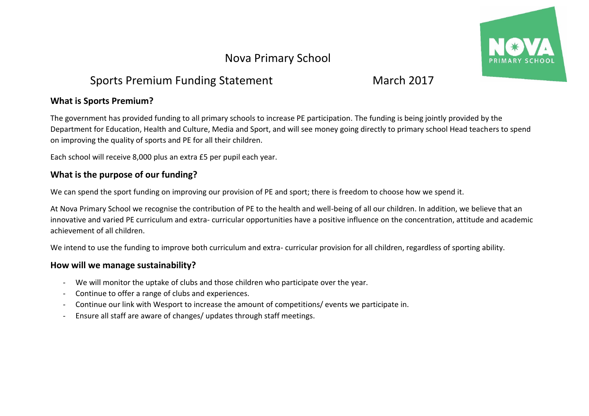# Nova Primary School

# Sports Premium Funding Statement March 2017

### **What is Sports Premium?**

The government has provided funding to all primary schools to increase PE participation. The funding is being jointly provided by the Department for Education, Health and Culture, Media and Sport, and will see money going directly to primary school Head teachers to spend on improving the quality of sports and PE for all their children.

Each school will receive 8,000 plus an extra £5 per pupil each year.

## **What is the purpose of our funding?**

We can spend the sport funding on improving our provision of PE and sport; there is freedom to choose how we spend it.

At Nova Primary School we recognise the contribution of PE to the health and well-being of all our children. In addition, we believe that an innovative and varied PE curriculum and extra- curricular opportunities have a positive influence on the concentration, attitude and academic achievement of all children.

We intend to use the funding to improve both curriculum and extra- curricular provision for all children, regardless of sporting ability.

## **How will we manage sustainability?**

- We will monitor the uptake of clubs and those children who participate over the year.
- Continue to offer a range of clubs and experiences.
- Continue our link with Wesport to increase the amount of competitions/ events we participate in.
- Ensure all staff are aware of changes/ updates through staff meetings.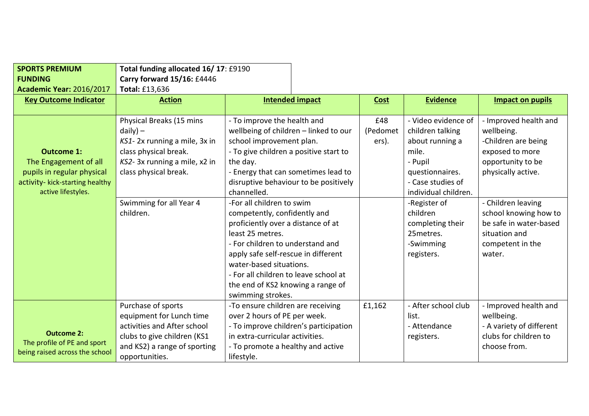| <b>SPORTS PREMIUM</b><br><b>FUNDING</b><br><b>Academic Year: 2016/2017</b>                                                        | Total funding allocated 16/17: £9190<br>Carry forward 15/16: £4446<br><b>Total: £13,636</b>                                                                                                       |                                                                                                                                                                                                                                                                                                                                                                                                                                                                                                                         |                                       |                          |                                                                                                                                                                                                                                         |                                                                                                                                                                                                                                                  |
|-----------------------------------------------------------------------------------------------------------------------------------|---------------------------------------------------------------------------------------------------------------------------------------------------------------------------------------------------|-------------------------------------------------------------------------------------------------------------------------------------------------------------------------------------------------------------------------------------------------------------------------------------------------------------------------------------------------------------------------------------------------------------------------------------------------------------------------------------------------------------------------|---------------------------------------|--------------------------|-----------------------------------------------------------------------------------------------------------------------------------------------------------------------------------------------------------------------------------------|--------------------------------------------------------------------------------------------------------------------------------------------------------------------------------------------------------------------------------------------------|
| <b>Key Outcome Indicator</b>                                                                                                      | <b>Action</b>                                                                                                                                                                                     |                                                                                                                                                                                                                                                                                                                                                                                                                                                                                                                         | <b>Intended impact</b>                | Cost                     | <b>Evidence</b>                                                                                                                                                                                                                         | <b>Impact on pupils</b>                                                                                                                                                                                                                          |
|                                                                                                                                   |                                                                                                                                                                                                   |                                                                                                                                                                                                                                                                                                                                                                                                                                                                                                                         |                                       |                          |                                                                                                                                                                                                                                         |                                                                                                                                                                                                                                                  |
| <b>Outcome 1:</b><br>The Engagement of all<br>pupils in regular physical<br>activity- kick-starting healthy<br>active lifestyles. | Physical Breaks (15 mins<br>$daily$ ) –<br>KS1-2x running a mile, 3x in<br>class physical break.<br>KS2-3x running a mile, x2 in<br>class physical break.<br>Swimming for all Year 4<br>children. | - To improve the health and<br>wellbeing of children - linked to our<br>school improvement plan.<br>- To give children a positive start to<br>the day.<br>- Energy that can sometimes lead to<br>channelled.<br>-For all children to swim<br>competently, confidently and<br>proficiently over a distance of at<br>least 25 metres.<br>- For children to understand and<br>apply safe self-rescue in different<br>water-based situations.<br>- For all children to leave school at<br>the end of KS2 knowing a range of | disruptive behaviour to be positively | £48<br>(Pedomet<br>ers). | - Video evidence of<br>children talking<br>about running a<br>mile.<br>- Pupil<br>questionnaires.<br>- Case studies of<br>individual children.<br>-Register of<br>children<br>completing their<br>25 metres.<br>-Swimming<br>registers. | - Improved health and<br>wellbeing.<br>-Children are being<br>exposed to more<br>opportunity to be<br>physically active.<br>- Children leaving<br>school knowing how to<br>be safe in water-based<br>situation and<br>competent in the<br>water. |
|                                                                                                                                   | Purchase of sports                                                                                                                                                                                | swimming strokes.<br>-To ensure children are receiving                                                                                                                                                                                                                                                                                                                                                                                                                                                                  |                                       | £1,162                   | - After school club                                                                                                                                                                                                                     | - Improved health and                                                                                                                                                                                                                            |
| <b>Outcome 2:</b><br>The profile of PE and sport<br>being raised across the school                                                | equipment for Lunch time<br>activities and After school<br>clubs to give children (KS1<br>and KS2) a range of sporting<br>opportunities.                                                          | over 2 hours of PE per week.<br>- To improve children's participation<br>in extra-curricular activities.<br>- To promote a healthy and active<br>lifestyle.                                                                                                                                                                                                                                                                                                                                                             |                                       |                          | list.<br>- Attendance<br>registers.                                                                                                                                                                                                     | wellbeing.<br>- A variety of different<br>clubs for children to<br>choose from.                                                                                                                                                                  |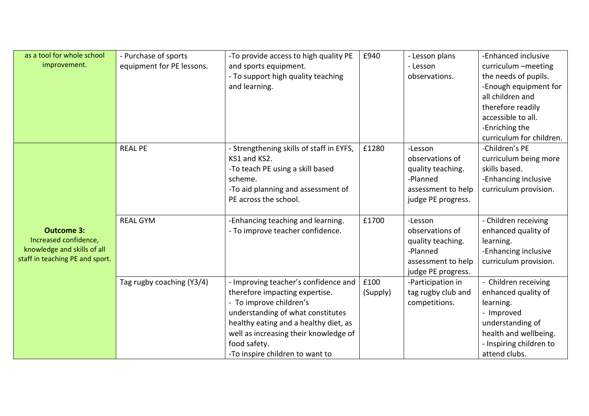| as a tool for whole school<br>improvement.                                                                   | - Purchase of sports<br>equipment for PE lessons. | -To provide access to high quality PE<br>and sports equipment.<br>- To support high quality teaching<br>and learning.                                                                                                                                                       | £940             | - Lesson plans<br>- Lesson<br>observations.                                                             | -Enhanced inclusive<br>curriculum -meeting<br>the needs of pupils.<br>-Enough equipment for<br>all children and<br>therefore readily<br>accessible to all.<br>-Enriching the<br>curriculum for children. |
|--------------------------------------------------------------------------------------------------------------|---------------------------------------------------|-----------------------------------------------------------------------------------------------------------------------------------------------------------------------------------------------------------------------------------------------------------------------------|------------------|---------------------------------------------------------------------------------------------------------|----------------------------------------------------------------------------------------------------------------------------------------------------------------------------------------------------------|
|                                                                                                              | <b>REAL PE</b>                                    | - Strengthening skills of staff in EYFS,<br>KS1 and KS2.<br>-To teach PE using a skill based<br>scheme.<br>-To aid planning and assessment of<br>PE across the school.                                                                                                      | £1280            | -Lesson<br>observations of<br>quality teaching.<br>-Planned<br>assessment to help<br>judge PE progress. | -Children's PE<br>curriculum being more<br>skills based.<br>-Enhancing inclusive<br>curriculum provision.                                                                                                |
| <b>Outcome 3:</b><br>Increased confidence,<br>knowledge and skills of all<br>staff in teaching PE and sport. | <b>REAL GYM</b>                                   | -Enhancing teaching and learning.<br>- To improve teacher confidence.                                                                                                                                                                                                       | £1700            | -Lesson<br>observations of<br>quality teaching.<br>-Planned<br>assessment to help<br>judge PE progress. | - Children receiving<br>enhanced quality of<br>learning.<br>-Enhancing inclusive<br>curriculum provision.                                                                                                |
|                                                                                                              | Tag rugby coaching (Y3/4)                         | - Improving teacher's confidence and<br>therefore impacting expertise.<br>- To improve children's<br>understanding of what constitutes<br>healthy eating and a healthy diet, as<br>well as increasing their knowledge of<br>food safety.<br>-To inspire children to want to | £100<br>(Supply) | -Participation in<br>tag rugby club and<br>competitions.                                                | - Children receiving<br>enhanced quality of<br>learning.<br>- Improved<br>understanding of<br>health and wellbeing.<br>- Inspiring children to<br>attend clubs.                                          |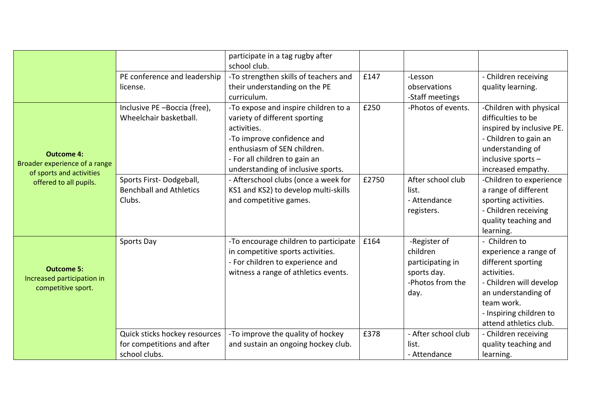|                                                                                                          |                                                                              | participate in a tag rugby after<br>school club.                                                                                                                                                                         |               |                                                                                         |                                                                                                                                                                                                  |
|----------------------------------------------------------------------------------------------------------|------------------------------------------------------------------------------|--------------------------------------------------------------------------------------------------------------------------------------------------------------------------------------------------------------------------|---------------|-----------------------------------------------------------------------------------------|--------------------------------------------------------------------------------------------------------------------------------------------------------------------------------------------------|
|                                                                                                          | PE conference and leadership<br>license.                                     | -To strengthen skills of teachers and<br>their understanding on the PE<br>curriculum.                                                                                                                                    | £147          | -Lesson<br>observations<br>-Staff meetings                                              | - Children receiving<br>quality learning.                                                                                                                                                        |
| <b>Outcome 4:</b><br>Broader experience of a range<br>of sports and activities<br>offered to all pupils. | Inclusive PE-Boccia (free),<br>Wheelchair basketball.                        | -To expose and inspire children to a<br>variety of different sporting<br>activities.<br>-To improve confidence and<br>enthusiasm of SEN children.<br>- For all children to gain an<br>understanding of inclusive sports. | £250<br>£2750 | -Photos of events.<br>After school club                                                 | -Children with physical<br>difficulties to be<br>inspired by inclusive PE.<br>- Children to gain an<br>understanding of<br>inclusive sports -<br>increased empathy.                              |
|                                                                                                          | Sports First-Dodgeball,<br><b>Benchball and Athletics</b><br>Clubs.          | - Afterschool clubs (once a week for<br>KS1 and KS2) to develop multi-skills<br>and competitive games.                                                                                                                   |               | list.<br>- Attendance<br>registers.                                                     | -Children to experience<br>a range of different<br>sporting activities.<br>- Children receiving<br>quality teaching and<br>learning.                                                             |
| <b>Outcome 5:</b><br>Increased participation in<br>competitive sport.                                    | Sports Day                                                                   | -To encourage children to participate<br>in competitive sports activities.<br>- For children to experience and<br>witness a range of athletics events.                                                                   | £164          | -Register of<br>children<br>participating in<br>sports day.<br>-Photos from the<br>day. | - Children to<br>experience a range of<br>different sporting<br>activities.<br>- Children will develop<br>an understanding of<br>team work.<br>- Inspiring children to<br>attend athletics club. |
|                                                                                                          | Quick sticks hockey resources<br>for competitions and after<br>school clubs. | -To improve the quality of hockey<br>and sustain an ongoing hockey club.                                                                                                                                                 | £378          | - After school club<br>list.<br>- Attendance                                            | - Children receiving<br>quality teaching and<br>learning.                                                                                                                                        |